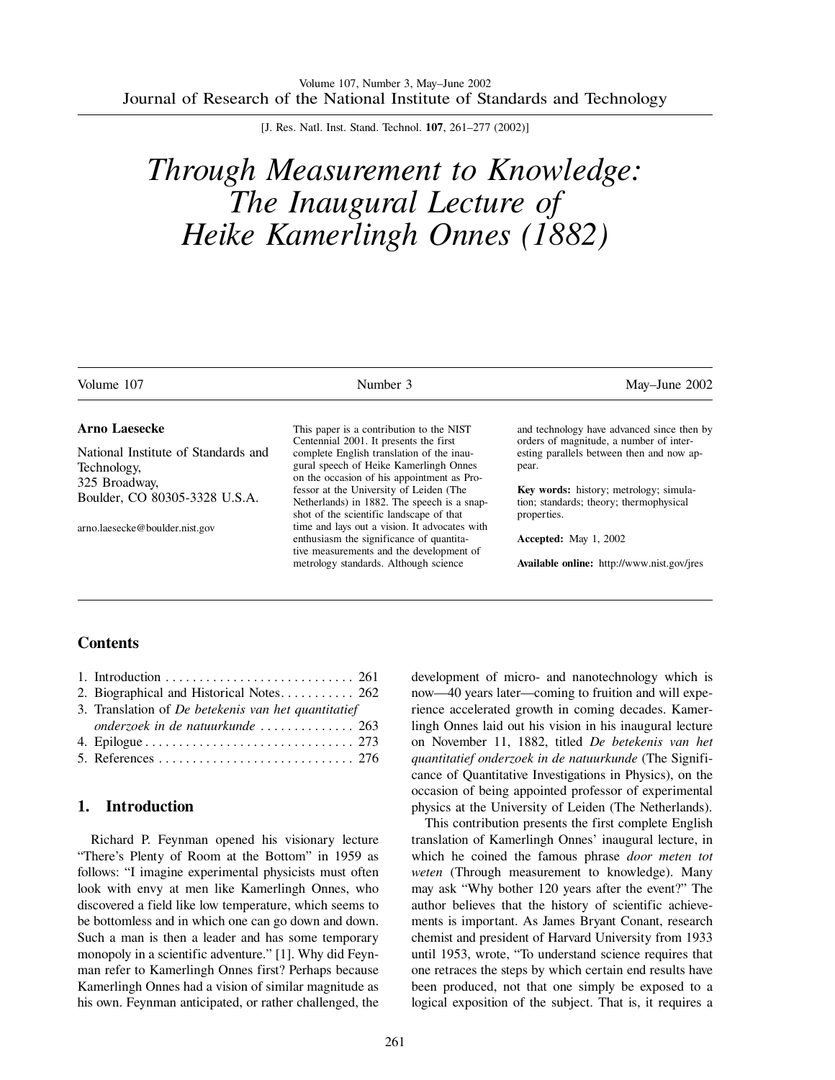[J. Res. Natl. Inst. Stand. Technol. **107**, 261–277 (2002)]

# *Through Measurement to Knowledge: The Inaugural Lecture of Heike Kamerlingh Onnes (1882)*

| Volume 107                          | Number 3                                                                              | May-June 2002                                                                         |
|-------------------------------------|---------------------------------------------------------------------------------------|---------------------------------------------------------------------------------------|
| <b>Arno Laesecke</b>                | This paper is a contribution to the NIST<br>Centennial 2001. It presents the first    | and technology have advanced since then by<br>orders of magnitude, a number of inter- |
| National Institute of Standards and | complete English translation of the inau-                                             | esting parallels between then and now ap-                                             |
| Technology,                         | gural speech of Heike Kamerlingh Onnes                                                | pear.                                                                                 |
| 325 Broadway,                       | on the occasion of his appointment as Pro-<br>fessor at the University of Leiden (The | Key words: history; metrology; simula-                                                |
| Boulder, CO 80305-3328 U.S.A.       | Netherlands) in 1882. The speech is a snap-                                           | tion; standards; theory; thermophysical                                               |
|                                     | shot of the scientific landscape of that                                              | properties.                                                                           |
| arno.laesecke@boulder.nist.gov      | time and lays out a vision. It advocates with                                         |                                                                                       |
|                                     | enthusiasm the significance of quantita-<br>tive measurements and the development of  | <b>Accepted:</b> May 1, 2002                                                          |
|                                     | metrology standards. Although science                                                 | Available online: http://www.nist.gov/jres                                            |

## **Contents**

| 2. Biographical and Historical Notes 262            |  |
|-----------------------------------------------------|--|
| 3. Translation of De betekenis van het quantitatief |  |
| onderzoek in de natuurkunde  263                    |  |
|                                                     |  |
|                                                     |  |

# **1. Introduction**

Richard P. Feynman opened his visionary lecture "There's Plenty of Room at the Bottom" in 1959 as follows: "I imagine experimental physicists must often look with envy at men like Kamerlingh Onnes, who discovered a field like low temperature, which seems to be bottomless and in which one can go down and down. Such a man is then a leader and has some temporary monopoly in a scientific adventure." [1]. Why did Feynman refer to Kamerlingh Onnes first? Perhaps because Kamerlingh Onnes had a vision of similar magnitude as his own. Feynman anticipated, or rather challenged, the development of micro- and nanotechnology which is now—40 years later—coming to fruition and will experience accelerated growth in coming decades. Kamerlingh Onnes laid out his vision in his inaugural lecture on November 11, 1882, titled *De betekenis van het quantitatief onderzoek in de natuurkunde* (The Significance of Quantitative Investigations in Physics), on the occasion of being appointed professor of experimental physics at the University of Leiden (The Netherlands).

This contribution presents the first complete English translation of Kamerlingh Onnes' inaugural lecture, in which he coined the famous phrase *door meten tot weten* (Through measurement to knowledge). Many may ask "Why bother 120 years after the event?" The author believes that the history of scientific achievements is important. As James Bryant Conant, research chemist and president of Harvard University from 1933 until 1953, wrote, "To understand science requires that one retraces the steps by which certain end results have been produced, not that one simply be exposed to a logical exposition of the subject. That is, it requires a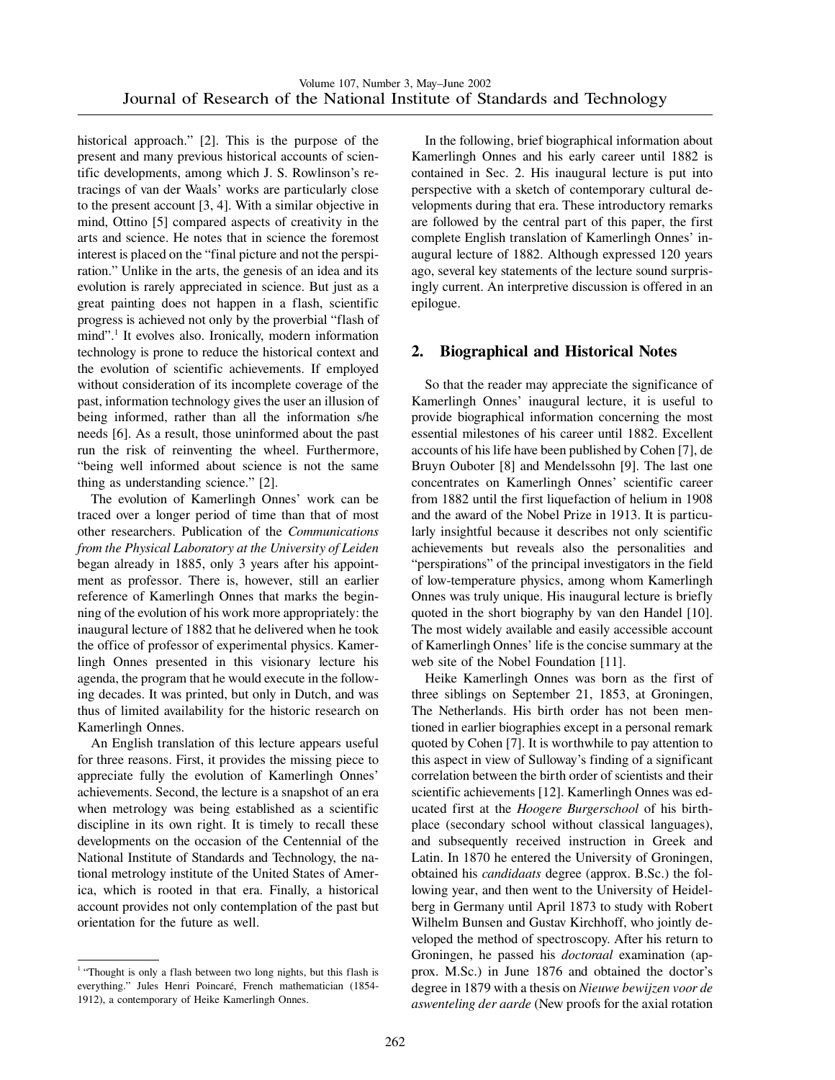historical approach." [2]. This is the purpose of the present and many previous historical accounts of scientific developments, among which J. S. Rowlinson's retracings of van der Waals' works are particularly close to the present account [3, 4]. With a similar objective in mind, Ottino [5] compared aspects of creativity in the arts and science. He notes that in science the foremost interest is placed on the "final picture and not the perspiration." Unlike in the arts, the genesis of an idea and its evolution is rarely appreciated in science. But just as a great painting does not happen in a flash, scientific progress is achieved not only by the proverbial "flash of mind".<sup>1</sup> It evolves also. Ironically, modern information technology is prone to reduce the historical context and the evolution of scientific achievements. If employed without consideration of its incomplete coverage of the past, information technology gives the user an illusion of being informed, rather than all the information s/he needs [6]. As a result, those uninformed about the past run the risk of reinventing the wheel. Furthermore, "being well informed about science is not the same thing as understanding science." [2].

The evolution of Kamerlingh Onnes' work can be traced over a longer period of time than that of most other researchers. Publication of the *Communications from the Physical Laboratory at the University of Leiden* began already in 1885, only 3 years after his appointment as professor. There is, however, still an earlier reference of Kamerlingh Onnes that marks the beginning of the evolution of his work more appropriately: the inaugural lecture of 1882 that he delivered when he took the office of professor of experimental physics. Kamerlingh Onnes presented in this visionary lecture his agenda, the program that he would execute in the following decades. It was printed, but only in Dutch, and was thus of limited availability for the historic research on Kamerlingh Onnes.

An English translation of this lecture appears useful for three reasons. First, it provides the missing piece to appreciate fully the evolution of Kamerlingh Onnes' achievements. Second, the lecture is a snapshot of an era when metrology was being established as a scientific discipline in its own right. It is timely to recall these developments on the occasion of the Centennial of the National Institute of Standards and Technology, the national metrology institute of the United States of America, which is rooted in that era. Finally, a historical account provides not only contemplation of the past but orientation for the future as well.

In the following, brief biographical information about Kamerlingh Onnes and his early career until 1882 is contained in Sec. 2. His inaugural lecture is put into perspective with a sketch of contemporary cultural developments during that era. These introductory remarks are followed by the central part of this paper, the first complete English translation of Kamerlingh Onnes' inaugural lecture of 1882. Although expressed 120 years ago, several key statements of the lecture sound surprisingly current. An interpretive discussion is offered in an epilogue.

# **2. Biographical and Historical Notes**

So that the reader may appreciate the significance of Kamerlingh Onnes' inaugural lecture, it is useful to provide biographical information concerning the most essential milestones of his career until 1882. Excellent accounts of his life have been published by Cohen [7], de Bruyn Ouboter [8] and Mendelssohn [9]. The last one concentrates on Kamerlingh Onnes' scientific career from 1882 until the first liquefaction of helium in 1908 and the award of the Nobel Prize in 1913. It is particularly insightful because it describes not only scientific achievements but reveals also the personalities and "perspirations" of the principal investigators in the field of low-temperature physics, among whom Kamerlingh Onnes was truly unique. His inaugural lecture is briefly quoted in the short biography by van den Handel [10]. The most widely available and easily accessible account of Kamerlingh Onnes' life is the concise summary at the web site of the Nobel Foundation [11].

Heike Kamerlingh Onnes was born as the first of three siblings on September 21, 1853, at Groningen, The Netherlands. His birth order has not been mentioned in earlier biographies except in a personal remark quoted by Cohen [7]. It is worthwhile to pay attention to this aspect in view of Sulloway's finding of a significant correlation between the birth order of scientists and their scientific achievements [12]. Kamerlingh Onnes was educated first at the *Hoogere Burgerschool* of his birthplace (secondary school without classical languages), and subsequently received instruction in Greek and Latin. In 1870 he entered the University of Groningen, obtained his *candidaats* degree (approx. B.Sc.) the following year, and then went to the University of Heidelberg in Germany until April 1873 to study with Robert Wilhelm Bunsen and Gustav Kirchhoff, who jointly developed the method of spectroscopy. After his return to Groningen, he passed his *doctoraal* examination (approx. M.Sc.) in June 1876 and obtained the doctor's degree in 1879 with a thesis on *Nieuwe bewijzen voor de aswenteling der aarde* (New proofs for the axial rotation

<sup>&</sup>lt;sup>1</sup> "Thought is only a flash between two long nights, but this flash is everything." Jules Henri Poincaré, French mathematician (1854-1912), a contemporary of Heike Kamerlingh Onnes.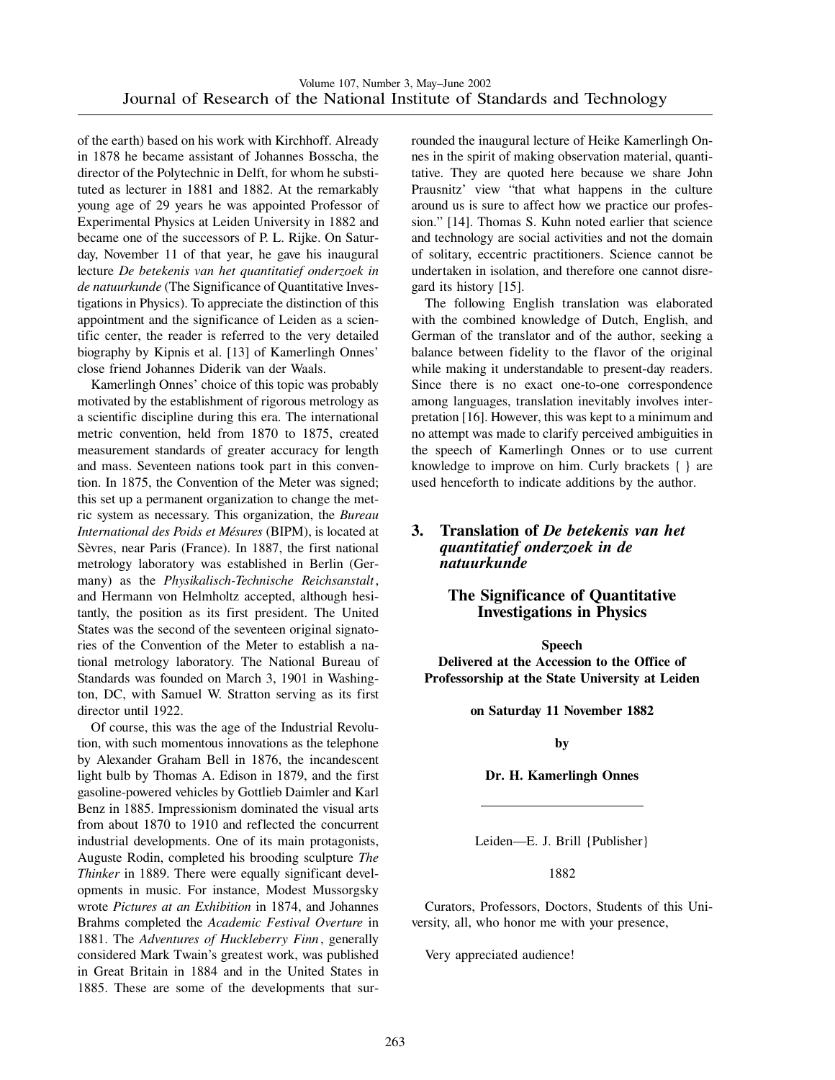of the earth) based on his work with Kirchhoff. Already in 1878 he became assistant of Johannes Bosscha, the director of the Polytechnic in Delft, for whom he substituted as lecturer in 1881 and 1882. At the remarkably young age of 29 years he was appointed Professor of Experimental Physics at Leiden University in 1882 and became one of the successors of P. L. Rijke. On Saturday, November 11 of that year, he gave his inaugural lecture *De betekenis van het quantitatief onderzoek in de natuurkunde* (The Significance of Quantitative Investigations in Physics). To appreciate the distinction of this appointment and the significance of Leiden as a scientific center, the reader is referred to the very detailed biography by Kipnis et al. [13] of Kamerlingh Onnes' close friend Johannes Diderik van der Waals.

Kamerlingh Onnes' choice of this topic was probably motivated by the establishment of rigorous metrology as a scientific discipline during this era. The international metric convention, held from 1870 to 1875, created measurement standards of greater accuracy for length and mass. Seventeen nations took part in this convention. In 1875, the Convention of the Meter was signed; this set up a permanent organization to change the metric system as necessary. This organization, the *Bureau International des Poids et Me´sures* (BIPM), is located at Sèvres, near Paris (France). In 1887, the first national metrology laboratory was established in Berlin (Germany) as the *Physikalisch-Technische Reichsanstalt*, and Hermann von Helmholtz accepted, although hesitantly, the position as its first president. The United States was the second of the seventeen original signatories of the Convention of the Meter to establish a national metrology laboratory. The National Bureau of Standards was founded on March 3, 1901 in Washington, DC, with Samuel W. Stratton serving as its first director until 1922.

Of course, this was the age of the Industrial Revolution, with such momentous innovations as the telephone by Alexander Graham Bell in 1876, the incandescent light bulb by Thomas A. Edison in 1879, and the first gasoline-powered vehicles by Gottlieb Daimler and Karl Benz in 1885. Impressionism dominated the visual arts from about 1870 to 1910 and reflected the concurrent industrial developments. One of its main protagonists, Auguste Rodin, completed his brooding sculpture *The Thinker* in 1889. There were equally significant developments in music. For instance, Modest Mussorgsky wrote *Pictures at an Exhibition* in 1874, and Johannes Brahms completed the *Academic Festival Overture* in 1881. The *Adventures of Huckleberry Finn*, generally considered Mark Twain's greatest work, was published in Great Britain in 1884 and in the United States in 1885. These are some of the developments that surrounded the inaugural lecture of Heike Kamerlingh Onnes in the spirit of making observation material, quantitative. They are quoted here because we share John Prausnitz' view "that what happens in the culture around us is sure to affect how we practice our profession." [14]. Thomas S. Kuhn noted earlier that science and technology are social activities and not the domain of solitary, eccentric practitioners. Science cannot be undertaken in isolation, and therefore one cannot disregard its history [15].

The following English translation was elaborated with the combined knowledge of Dutch, English, and German of the translator and of the author, seeking a balance between fidelity to the flavor of the original while making it understandable to present-day readers. Since there is no exact one-to-one correspondence among languages, translation inevitably involves interpretation [16]. However, this was kept to a minimum and no attempt was made to clarify perceived ambiguities in the speech of Kamerlingh Onnes or to use current knowledge to improve on him. Curly brackets { } are used henceforth to indicate additions by the author.

## **3. Translation of** *De betekenis van het quantitatief onderzoek in de natuurkunde*

## **The Significance of Quantitative Investigations in Physics**

**Speech**

**Delivered at the Accession to the Office of Professorship at the State University at Leiden**

**on Saturday 11 November 1882**

**by**

**Dr. H. Kamerlingh Onnes**

Leiden—E. J. Brill {Publisher}

1882

Curators, Professors, Doctors, Students of this University, all, who honor me with your presence,

Very appreciated audience!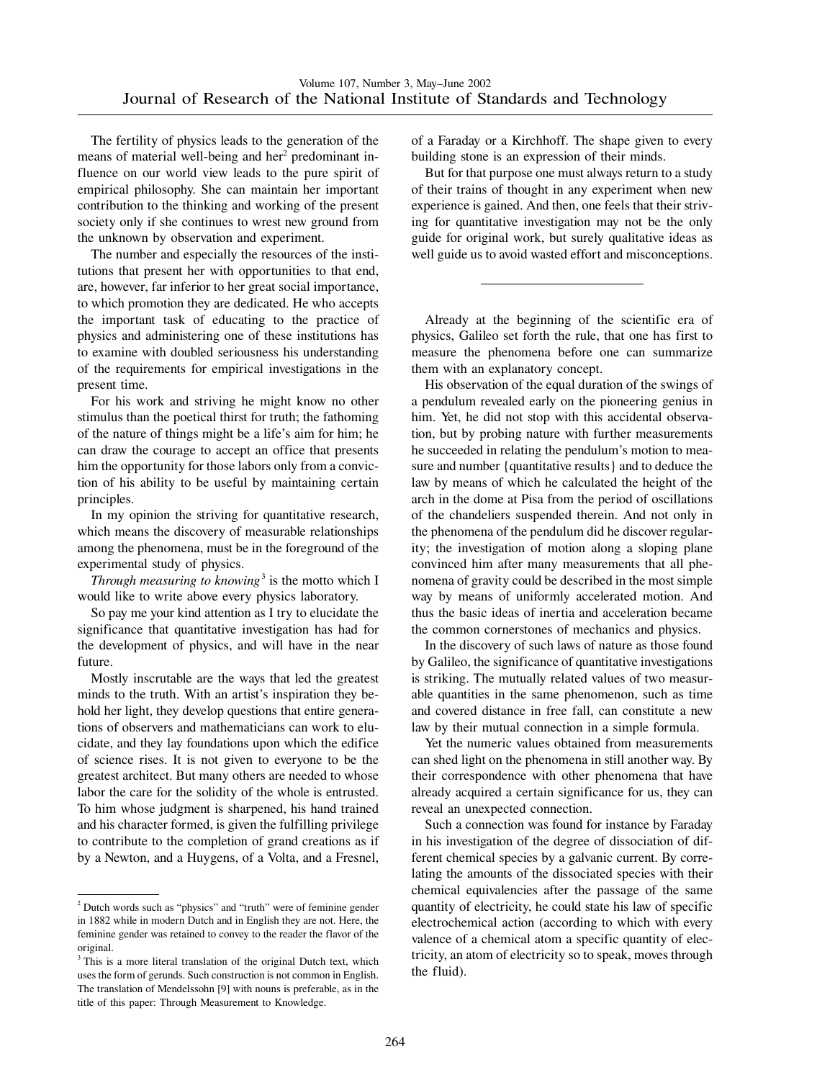The fertility of physics leads to the generation of the means of material well-being and her<sup>2</sup> predominant influence on our world view leads to the pure spirit of empirical philosophy. She can maintain her important contribution to the thinking and working of the present society only if she continues to wrest new ground from the unknown by observation and experiment.

The number and especially the resources of the institutions that present her with opportunities to that end, are, however, far inferior to her great social importance, to which promotion they are dedicated. He who accepts the important task of educating to the practice of physics and administering one of these institutions has to examine with doubled seriousness his understanding of the requirements for empirical investigations in the present time.

For his work and striving he might know no other stimulus than the poetical thirst for truth; the fathoming of the nature of things might be a life's aim for him; he can draw the courage to accept an office that presents him the opportunity for those labors only from a conviction of his ability to be useful by maintaining certain principles.

In my opinion the striving for quantitative research, which means the discovery of measurable relationships among the phenomena, must be in the foreground of the experimental study of physics.

*Through measuring to knowing*<sup>3</sup> is the motto which I would like to write above every physics laboratory.

So pay me your kind attention as I try to elucidate the significance that quantitative investigation has had for the development of physics, and will have in the near future.

Mostly inscrutable are the ways that led the greatest minds to the truth. With an artist's inspiration they behold her light, they develop questions that entire generations of observers and mathematicians can work to elucidate, and they lay foundations upon which the edifice of science rises. It is not given to everyone to be the greatest architect. But many others are needed to whose labor the care for the solidity of the whole is entrusted. To him whose judgment is sharpened, his hand trained and his character formed, is given the fulfilling privilege to contribute to the completion of grand creations as if by a Newton, and a Huygens, of a Volta, and a Fresnel, of a Faraday or a Kirchhoff. The shape given to every building stone is an expression of their minds.

But for that purpose one must always return to a study of their trains of thought in any experiment when new experience is gained. And then, one feels that their striving for quantitative investigation may not be the only guide for original work, but surely qualitative ideas as well guide us to avoid wasted effort and misconceptions.

Already at the beginning of the scientific era of physics, Galileo set forth the rule, that one has first to measure the phenomena before one can summarize them with an explanatory concept.

His observation of the equal duration of the swings of a pendulum revealed early on the pioneering genius in him. Yet, he did not stop with this accidental observation, but by probing nature with further measurements he succeeded in relating the pendulum's motion to measure and number {quantitative results} and to deduce the law by means of which he calculated the height of the arch in the dome at Pisa from the period of oscillations of the chandeliers suspended therein. And not only in the phenomena of the pendulum did he discover regularity; the investigation of motion along a sloping plane convinced him after many measurements that all phenomena of gravity could be described in the most simple way by means of uniformly accelerated motion. And thus the basic ideas of inertia and acceleration became the common cornerstones of mechanics and physics.

In the discovery of such laws of nature as those found by Galileo, the significance of quantitative investigations is striking. The mutually related values of two measurable quantities in the same phenomenon, such as time and covered distance in free fall, can constitute a new law by their mutual connection in a simple formula.

Yet the numeric values obtained from measurements can shed light on the phenomena in still another way. By their correspondence with other phenomena that have already acquired a certain significance for us, they can reveal an unexpected connection.

Such a connection was found for instance by Faraday in his investigation of the degree of dissociation of different chemical species by a galvanic current. By correlating the amounts of the dissociated species with their chemical equivalencies after the passage of the same quantity of electricity, he could state his law of specific electrochemical action (according to which with every valence of a chemical atom a specific quantity of electricity, an atom of electricity so to speak, moves through the fluid).

<sup>2</sup> Dutch words such as "physics" and "truth" were of feminine gender in 1882 while in modern Dutch and in English they are not. Here, the feminine gender was retained to convey to the reader the flavor of the original.

<sup>&</sup>lt;sup>3</sup> This is a more literal translation of the original Dutch text, which uses the form of gerunds. Such construction is not common in English. The translation of Mendelssohn [9] with nouns is preferable, as in the title of this paper: Through Measurement to Knowledge.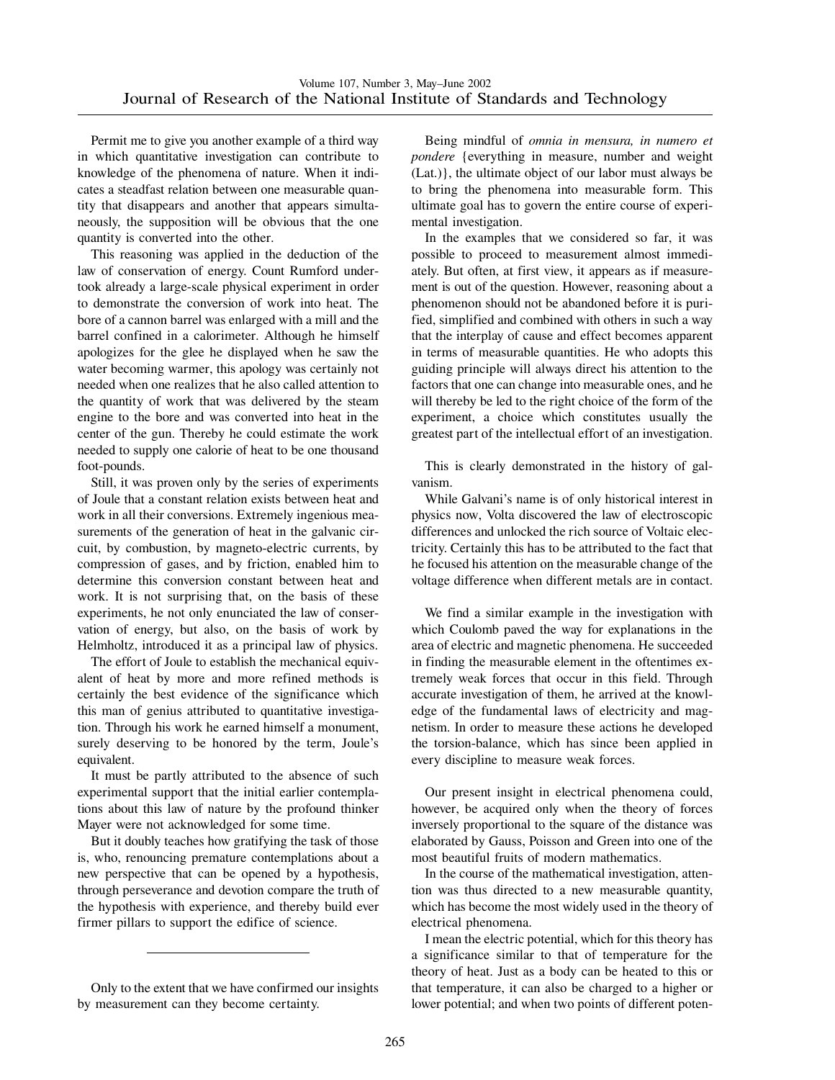Permit me to give you another example of a third way in which quantitative investigation can contribute to knowledge of the phenomena of nature. When it indicates a steadfast relation between one measurable quantity that disappears and another that appears simultaneously, the supposition will be obvious that the one quantity is converted into the other.

This reasoning was applied in the deduction of the law of conservation of energy. Count Rumford undertook already a large-scale physical experiment in order to demonstrate the conversion of work into heat. The bore of a cannon barrel was enlarged with a mill and the barrel confined in a calorimeter. Although he himself apologizes for the glee he displayed when he saw the water becoming warmer, this apology was certainly not needed when one realizes that he also called attention to the quantity of work that was delivered by the steam engine to the bore and was converted into heat in the center of the gun. Thereby he could estimate the work needed to supply one calorie of heat to be one thousand foot-pounds.

Still, it was proven only by the series of experiments of Joule that a constant relation exists between heat and work in all their conversions. Extremely ingenious measurements of the generation of heat in the galvanic circuit, by combustion, by magneto-electric currents, by compression of gases, and by friction, enabled him to determine this conversion constant between heat and work. It is not surprising that, on the basis of these experiments, he not only enunciated the law of conservation of energy, but also, on the basis of work by Helmholtz, introduced it as a principal law of physics.

The effort of Joule to establish the mechanical equivalent of heat by more and more refined methods is certainly the best evidence of the significance which this man of genius attributed to quantitative investigation. Through his work he earned himself a monument, surely deserving to be honored by the term, Joule's equivalent.

It must be partly attributed to the absence of such experimental support that the initial earlier contemplations about this law of nature by the profound thinker Mayer were not acknowledged for some time.

But it doubly teaches how gratifying the task of those is, who, renouncing premature contemplations about a new perspective that can be opened by a hypothesis, through perseverance and devotion compare the truth of the hypothesis with experience, and thereby build ever firmer pillars to support the edifice of science.

Being mindful of *omnia in mensura, in numero et pondere* {everything in measure, number and weight (Lat.)}, the ultimate object of our labor must always be to bring the phenomena into measurable form. This ultimate goal has to govern the entire course of experimental investigation.

In the examples that we considered so far, it was possible to proceed to measurement almost immediately. But often, at first view, it appears as if measurement is out of the question. However, reasoning about a phenomenon should not be abandoned before it is purified, simplified and combined with others in such a way that the interplay of cause and effect becomes apparent in terms of measurable quantities. He who adopts this guiding principle will always direct his attention to the factors that one can change into measurable ones, and he will thereby be led to the right choice of the form of the experiment, a choice which constitutes usually the greatest part of the intellectual effort of an investigation.

This is clearly demonstrated in the history of galvanism.

While Galvani's name is of only historical interest in physics now, Volta discovered the law of electroscopic differences and unlocked the rich source of Voltaic electricity. Certainly this has to be attributed to the fact that he focused his attention on the measurable change of the voltage difference when different metals are in contact.

We find a similar example in the investigation with which Coulomb paved the way for explanations in the area of electric and magnetic phenomena. He succeeded in finding the measurable element in the oftentimes extremely weak forces that occur in this field. Through accurate investigation of them, he arrived at the knowledge of the fundamental laws of electricity and magnetism. In order to measure these actions he developed the torsion-balance, which has since been applied in every discipline to measure weak forces.

Our present insight in electrical phenomena could, however, be acquired only when the theory of forces inversely proportional to the square of the distance was elaborated by Gauss, Poisson and Green into one of the most beautiful fruits of modern mathematics.

In the course of the mathematical investigation, attention was thus directed to a new measurable quantity, which has become the most widely used in the theory of electrical phenomena.

I mean the electric potential, which for this theory has a significance similar to that of temperature for the theory of heat. Just as a body can be heated to this or that temperature, it can also be charged to a higher or lower potential; and when two points of different poten-

Only to the extent that we have confirmed our insights by measurement can they become certainty.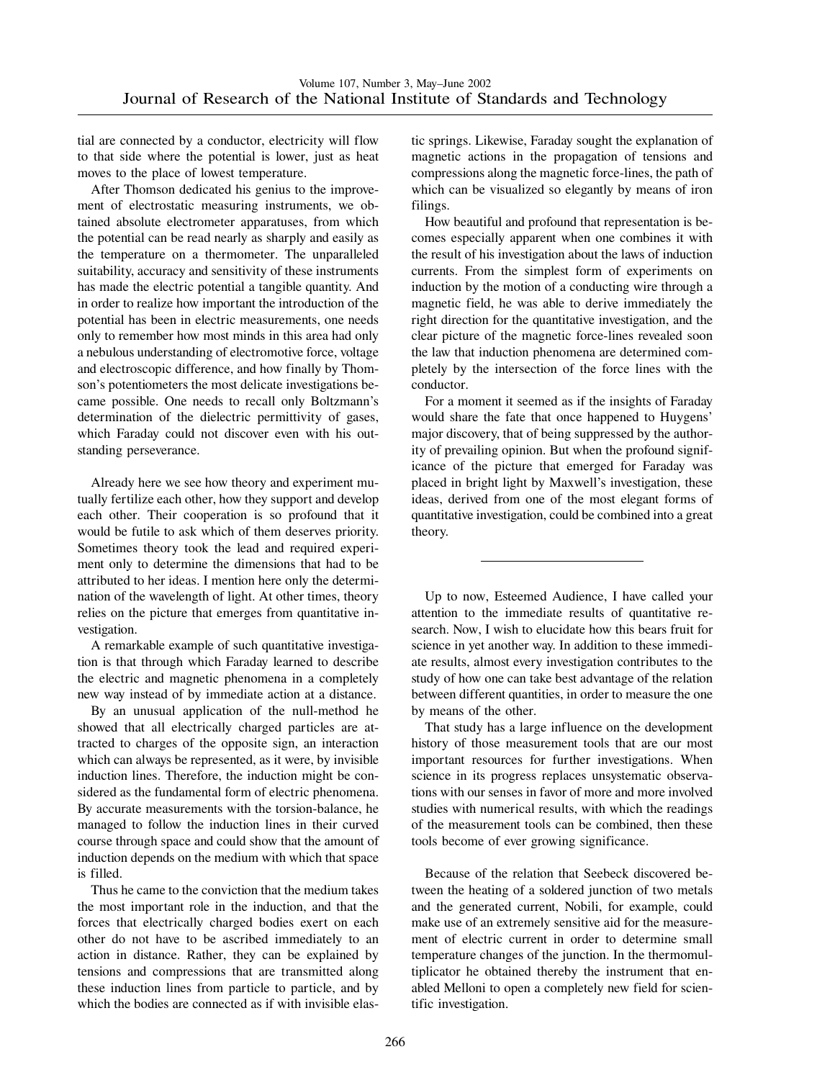tial are connected by a conductor, electricity will flow to that side where the potential is lower, just as heat moves to the place of lowest temperature.

After Thomson dedicated his genius to the improvement of electrostatic measuring instruments, we obtained absolute electrometer apparatuses, from which the potential can be read nearly as sharply and easily as the temperature on a thermometer. The unparalleled suitability, accuracy and sensitivity of these instruments has made the electric potential a tangible quantity. And in order to realize how important the introduction of the potential has been in electric measurements, one needs only to remember how most minds in this area had only a nebulous understanding of electromotive force, voltage and electroscopic difference, and how finally by Thomson's potentiometers the most delicate investigations became possible. One needs to recall only Boltzmann's determination of the dielectric permittivity of gases, which Faraday could not discover even with his outstanding perseverance.

Already here we see how theory and experiment mutually fertilize each other, how they support and develop each other. Their cooperation is so profound that it would be futile to ask which of them deserves priority. Sometimes theory took the lead and required experiment only to determine the dimensions that had to be attributed to her ideas. I mention here only the determination of the wavelength of light. At other times, theory relies on the picture that emerges from quantitative investigation.

A remarkable example of such quantitative investigation is that through which Faraday learned to describe the electric and magnetic phenomena in a completely new way instead of by immediate action at a distance.

By an unusual application of the null-method he showed that all electrically charged particles are attracted to charges of the opposite sign, an interaction which can always be represented, as it were, by invisible induction lines. Therefore, the induction might be considered as the fundamental form of electric phenomena. By accurate measurements with the torsion-balance, he managed to follow the induction lines in their curved course through space and could show that the amount of induction depends on the medium with which that space is filled.

Thus he came to the conviction that the medium takes the most important role in the induction, and that the forces that electrically charged bodies exert on each other do not have to be ascribed immediately to an action in distance. Rather, they can be explained by tensions and compressions that are transmitted along these induction lines from particle to particle, and by which the bodies are connected as if with invisible elastic springs. Likewise, Faraday sought the explanation of magnetic actions in the propagation of tensions and compressions along the magnetic force-lines, the path of which can be visualized so elegantly by means of iron filings.

How beautiful and profound that representation is becomes especially apparent when one combines it with the result of his investigation about the laws of induction currents. From the simplest form of experiments on induction by the motion of a conducting wire through a magnetic field, he was able to derive immediately the right direction for the quantitative investigation, and the clear picture of the magnetic force-lines revealed soon the law that induction phenomena are determined completely by the intersection of the force lines with the conductor.

For a moment it seemed as if the insights of Faraday would share the fate that once happened to Huygens' major discovery, that of being suppressed by the authority of prevailing opinion. But when the profound significance of the picture that emerged for Faraday was placed in bright light by Maxwell's investigation, these ideas, derived from one of the most elegant forms of quantitative investigation, could be combined into a great theory.

Up to now, Esteemed Audience, I have called your attention to the immediate results of quantitative research. Now, I wish to elucidate how this bears fruit for science in yet another way. In addition to these immediate results, almost every investigation contributes to the study of how one can take best advantage of the relation between different quantities, in order to measure the one by means of the other.

That study has a large influence on the development history of those measurement tools that are our most important resources for further investigations. When science in its progress replaces unsystematic observations with our senses in favor of more and more involved studies with numerical results, with which the readings of the measurement tools can be combined, then these tools become of ever growing significance.

Because of the relation that Seebeck discovered between the heating of a soldered junction of two metals and the generated current, Nobili, for example, could make use of an extremely sensitive aid for the measurement of electric current in order to determine small temperature changes of the junction. In the thermomultiplicator he obtained thereby the instrument that enabled Melloni to open a completely new field for scientific investigation.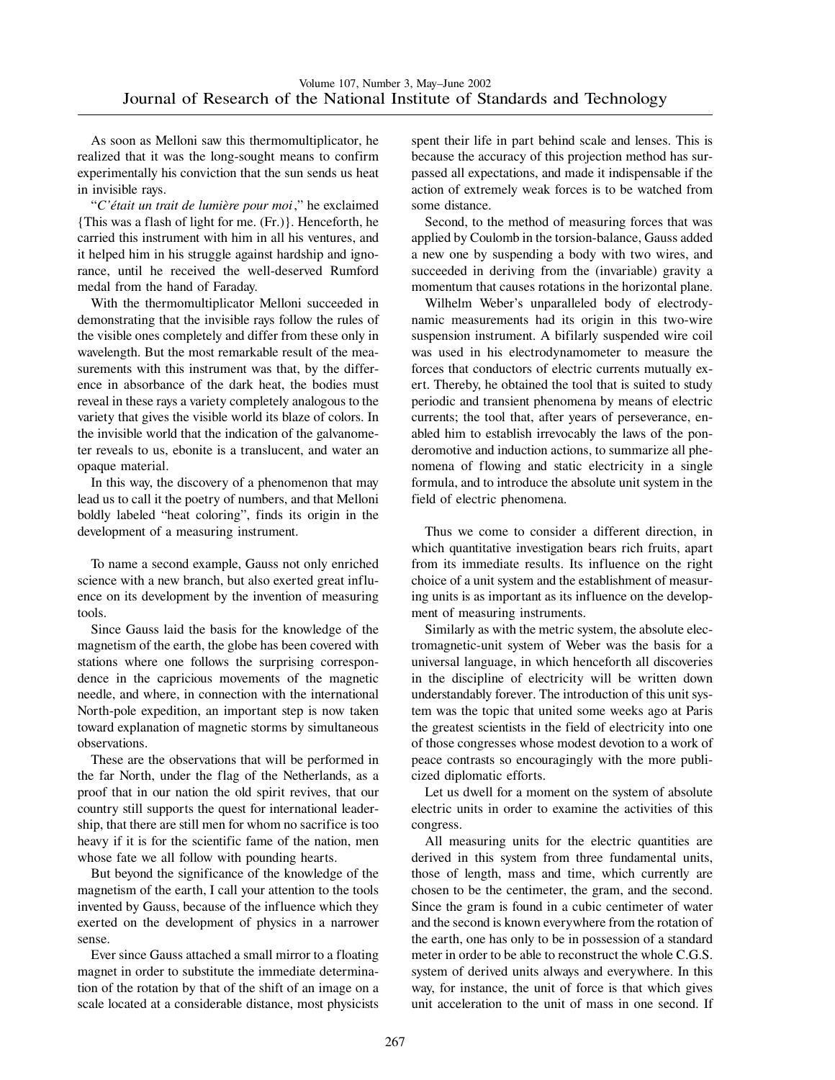As soon as Melloni saw this thermomultiplicator, he realized that it was the long-sought means to confirm experimentally his conviction that the sun sends us heat in invisible rays.

"*C'e´tait un trait de lumie`re pour moi*," he exclaimed {This was a flash of light for me. (Fr.)}. Henceforth, he carried this instrument with him in all his ventures, and it helped him in his struggle against hardship and ignorance, until he received the well-deserved Rumford medal from the hand of Faraday.

With the thermomultiplicator Melloni succeeded in demonstrating that the invisible rays follow the rules of the visible ones completely and differ from these only in wavelength. But the most remarkable result of the measurements with this instrument was that, by the difference in absorbance of the dark heat, the bodies must reveal in these rays a variety completely analogous to the variety that gives the visible world its blaze of colors. In the invisible world that the indication of the galvanometer reveals to us, ebonite is a translucent, and water an opaque material.

In this way, the discovery of a phenomenon that may lead us to call it the poetry of numbers, and that Melloni boldly labeled "heat coloring", finds its origin in the development of a measuring instrument.

To name a second example, Gauss not only enriched science with a new branch, but also exerted great influence on its development by the invention of measuring tools.

Since Gauss laid the basis for the knowledge of the magnetism of the earth, the globe has been covered with stations where one follows the surprising correspondence in the capricious movements of the magnetic needle, and where, in connection with the international North-pole expedition, an important step is now taken toward explanation of magnetic storms by simultaneous observations.

These are the observations that will be performed in the far North, under the flag of the Netherlands, as a proof that in our nation the old spirit revives, that our country still supports the quest for international leadership, that there are still men for whom no sacrifice is too heavy if it is for the scientific fame of the nation, men whose fate we all follow with pounding hearts.

But beyond the significance of the knowledge of the magnetism of the earth, I call your attention to the tools invented by Gauss, because of the influence which they exerted on the development of physics in a narrower sense.

Ever since Gauss attached a small mirror to a floating magnet in order to substitute the immediate determination of the rotation by that of the shift of an image on a scale located at a considerable distance, most physicists

spent their life in part behind scale and lenses. This is because the accuracy of this projection method has surpassed all expectations, and made it indispensable if the action of extremely weak forces is to be watched from some distance.

Second, to the method of measuring forces that was applied by Coulomb in the torsion-balance, Gauss added a new one by suspending a body with two wires, and succeeded in deriving from the (invariable) gravity a momentum that causes rotations in the horizontal plane.

Wilhelm Weber's unparalleled body of electrodynamic measurements had its origin in this two-wire suspension instrument. A bifilarly suspended wire coil was used in his electrodynamometer to measure the forces that conductors of electric currents mutually exert. Thereby, he obtained the tool that is suited to study periodic and transient phenomena by means of electric currents; the tool that, after years of perseverance, enabled him to establish irrevocably the laws of the ponderomotive and induction actions, to summarize all phenomena of flowing and static electricity in a single formula, and to introduce the absolute unit system in the field of electric phenomena.

Thus we come to consider a different direction, in which quantitative investigation bears rich fruits, apart from its immediate results. Its influence on the right choice of a unit system and the establishment of measuring units is as important as its influence on the development of measuring instruments.

Similarly as with the metric system, the absolute electromagnetic-unit system of Weber was the basis for a universal language, in which henceforth all discoveries in the discipline of electricity will be written down understandably forever. The introduction of this unit system was the topic that united some weeks ago at Paris the greatest scientists in the field of electricity into one of those congresses whose modest devotion to a work of peace contrasts so encouragingly with the more publicized diplomatic efforts.

Let us dwell for a moment on the system of absolute electric units in order to examine the activities of this congress.

All measuring units for the electric quantities are derived in this system from three fundamental units, those of length, mass and time, which currently are chosen to be the centimeter, the gram, and the second. Since the gram is found in a cubic centimeter of water and the second is known everywhere from the rotation of the earth, one has only to be in possession of a standard meter in order to be able to reconstruct the whole C.G.S. system of derived units always and everywhere. In this way, for instance, the unit of force is that which gives unit acceleration to the unit of mass in one second. If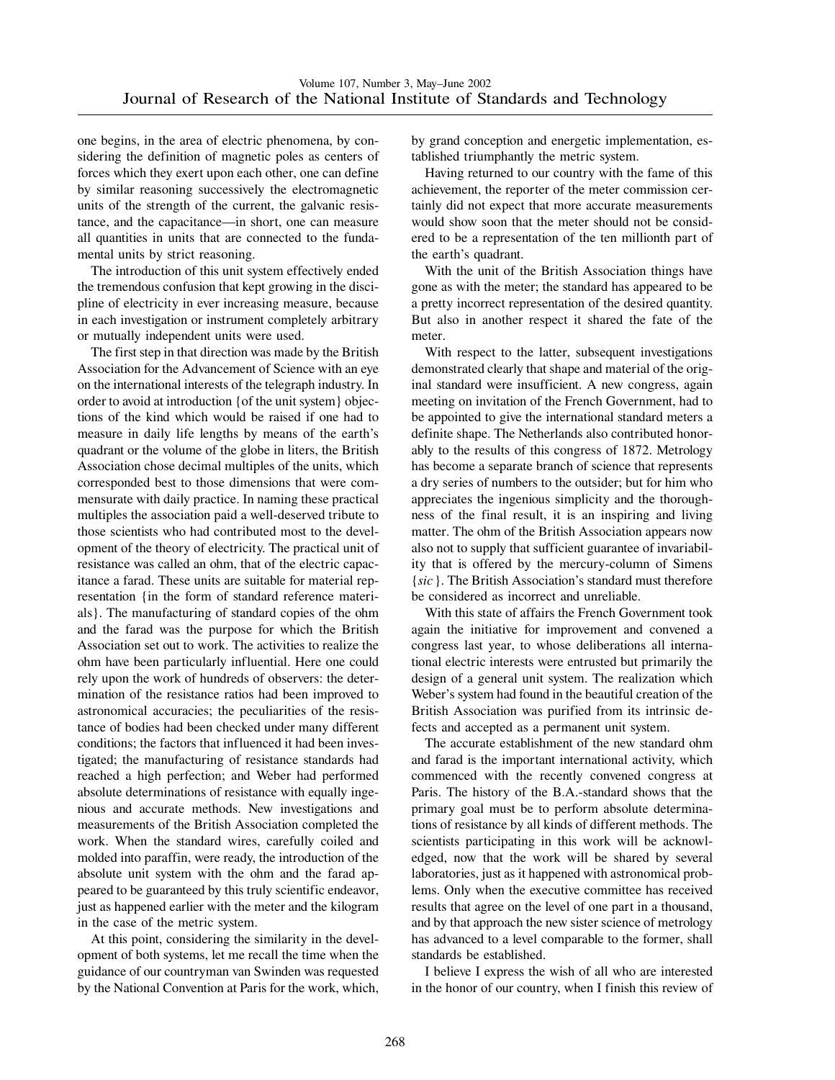one begins, in the area of electric phenomena, by considering the definition of magnetic poles as centers of forces which they exert upon each other, one can define by similar reasoning successively the electromagnetic units of the strength of the current, the galvanic resistance, and the capacitance—in short, one can measure all quantities in units that are connected to the fundamental units by strict reasoning.

The introduction of this unit system effectively ended the tremendous confusion that kept growing in the discipline of electricity in ever increasing measure, because in each investigation or instrument completely arbitrary or mutually independent units were used.

The first step in that direction was made by the British Association for the Advancement of Science with an eye on the international interests of the telegraph industry. In order to avoid at introduction {of the unit system} objections of the kind which would be raised if one had to measure in daily life lengths by means of the earth's quadrant or the volume of the globe in liters, the British Association chose decimal multiples of the units, which corresponded best to those dimensions that were commensurate with daily practice. In naming these practical multiples the association paid a well-deserved tribute to those scientists who had contributed most to the development of the theory of electricity. The practical unit of resistance was called an ohm, that of the electric capacitance a farad. These units are suitable for material representation {in the form of standard reference materials}. The manufacturing of standard copies of the ohm and the farad was the purpose for which the British Association set out to work. The activities to realize the ohm have been particularly influential. Here one could rely upon the work of hundreds of observers: the determination of the resistance ratios had been improved to astronomical accuracies; the peculiarities of the resistance of bodies had been checked under many different conditions; the factors that influenced it had been investigated; the manufacturing of resistance standards had reached a high perfection; and Weber had performed absolute determinations of resistance with equally ingenious and accurate methods. New investigations and measurements of the British Association completed the work. When the standard wires, carefully coiled and molded into paraffin, were ready, the introduction of the absolute unit system with the ohm and the farad appeared to be guaranteed by this truly scientific endeavor, just as happened earlier with the meter and the kilogram in the case of the metric system.

At this point, considering the similarity in the development of both systems, let me recall the time when the guidance of our countryman van Swinden was requested by the National Convention at Paris for the work, which, by grand conception and energetic implementation, established triumphantly the metric system.

Having returned to our country with the fame of this achievement, the reporter of the meter commission certainly did not expect that more accurate measurements would show soon that the meter should not be considered to be a representation of the ten millionth part of the earth's quadrant.

With the unit of the British Association things have gone as with the meter; the standard has appeared to be a pretty incorrect representation of the desired quantity. But also in another respect it shared the fate of the meter.

With respect to the latter, subsequent investigations demonstrated clearly that shape and material of the original standard were insufficient. A new congress, again meeting on invitation of the French Government, had to be appointed to give the international standard meters a definite shape. The Netherlands also contributed honorably to the results of this congress of 1872. Metrology has become a separate branch of science that represents a dry series of numbers to the outsider; but for him who appreciates the ingenious simplicity and the thoroughness of the final result, it is an inspiring and living matter. The ohm of the British Association appears now also not to supply that sufficient guarantee of invariability that is offered by the mercury-column of Simens {*sic*}. The British Association's standard must therefore be considered as incorrect and unreliable.

With this state of affairs the French Government took again the initiative for improvement and convened a congress last year, to whose deliberations all international electric interests were entrusted but primarily the design of a general unit system. The realization which Weber's system had found in the beautiful creation of the British Association was purified from its intrinsic defects and accepted as a permanent unit system.

The accurate establishment of the new standard ohm and farad is the important international activity, which commenced with the recently convened congress at Paris. The history of the B.A.-standard shows that the primary goal must be to perform absolute determinations of resistance by all kinds of different methods. The scientists participating in this work will be acknowledged, now that the work will be shared by several laboratories, just as it happened with astronomical problems. Only when the executive committee has received results that agree on the level of one part in a thousand, and by that approach the new sister science of metrology has advanced to a level comparable to the former, shall standards be established.

I believe I express the wish of all who are interested in the honor of our country, when I finish this review of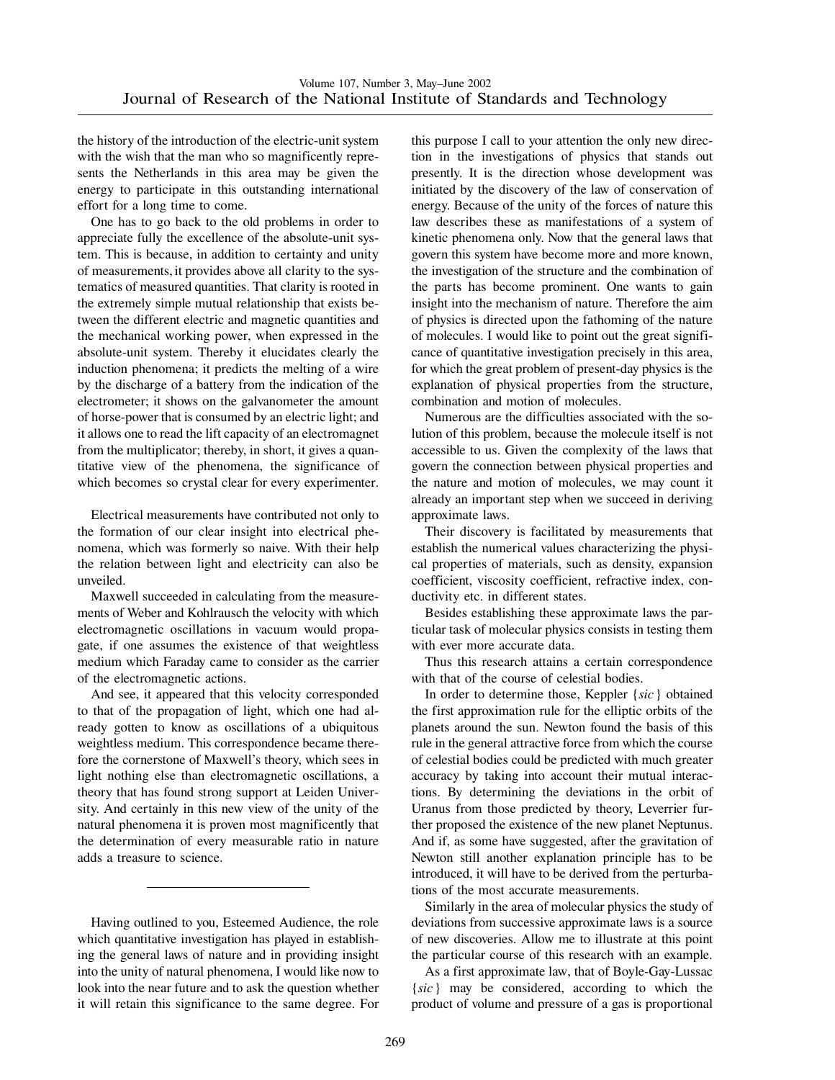the history of the introduction of the electric-unit system with the wish that the man who so magnificently represents the Netherlands in this area may be given the energy to participate in this outstanding international effort for a long time to come.

One has to go back to the old problems in order to appreciate fully the excellence of the absolute-unit system. This is because, in addition to certainty and unity of measurements, it provides above all clarity to the systematics of measured quantities. That clarity is rooted in the extremely simple mutual relationship that exists between the different electric and magnetic quantities and the mechanical working power, when expressed in the absolute-unit system. Thereby it elucidates clearly the induction phenomena; it predicts the melting of a wire by the discharge of a battery from the indication of the electrometer; it shows on the galvanometer the amount of horse-power that is consumed by an electric light; and it allows one to read the lift capacity of an electromagnet from the multiplicator; thereby, in short, it gives a quantitative view of the phenomena, the significance of which becomes so crystal clear for every experimenter.

Electrical measurements have contributed not only to the formation of our clear insight into electrical phenomena, which was formerly so naive. With their help the relation between light and electricity can also be unveiled.

Maxwell succeeded in calculating from the measurements of Weber and Kohlrausch the velocity with which electromagnetic oscillations in vacuum would propagate, if one assumes the existence of that weightless medium which Faraday came to consider as the carrier of the electromagnetic actions.

And see, it appeared that this velocity corresponded to that of the propagation of light, which one had already gotten to know as oscillations of a ubiquitous weightless medium. This correspondence became therefore the cornerstone of Maxwell's theory, which sees in light nothing else than electromagnetic oscillations, a theory that has found strong support at Leiden University. And certainly in this new view of the unity of the natural phenomena it is proven most magnificently that the determination of every measurable ratio in nature adds a treasure to science.

Having outlined to you, Esteemed Audience, the role which quantitative investigation has played in establishing the general laws of nature and in providing insight into the unity of natural phenomena, I would like now to look into the near future and to ask the question whether it will retain this significance to the same degree. For this purpose I call to your attention the only new direction in the investigations of physics that stands out presently. It is the direction whose development was initiated by the discovery of the law of conservation of energy. Because of the unity of the forces of nature this law describes these as manifestations of a system of kinetic phenomena only. Now that the general laws that govern this system have become more and more known, the investigation of the structure and the combination of the parts has become prominent. One wants to gain insight into the mechanism of nature. Therefore the aim of physics is directed upon the fathoming of the nature of molecules. I would like to point out the great significance of quantitative investigation precisely in this area, for which the great problem of present-day physics is the explanation of physical properties from the structure, combination and motion of molecules.

Numerous are the difficulties associated with the solution of this problem, because the molecule itself is not accessible to us. Given the complexity of the laws that govern the connection between physical properties and the nature and motion of molecules, we may count it already an important step when we succeed in deriving approximate laws.

Their discovery is facilitated by measurements that establish the numerical values characterizing the physical properties of materials, such as density, expansion coefficient, viscosity coefficient, refractive index, conductivity etc. in different states.

Besides establishing these approximate laws the particular task of molecular physics consists in testing them with ever more accurate data.

Thus this research attains a certain correspondence with that of the course of celestial bodies.

In order to determine those, Keppler {*sic*} obtained the first approximation rule for the elliptic orbits of the planets around the sun. Newton found the basis of this rule in the general attractive force from which the course of celestial bodies could be predicted with much greater accuracy by taking into account their mutual interactions. By determining the deviations in the orbit of Uranus from those predicted by theory, Leverrier further proposed the existence of the new planet Neptunus. And if, as some have suggested, after the gravitation of Newton still another explanation principle has to be introduced, it will have to be derived from the perturbations of the most accurate measurements.

Similarly in the area of molecular physics the study of deviations from successive approximate laws is a source of new discoveries. Allow me to illustrate at this point the particular course of this research with an example.

As a first approximate law, that of Boyle-Gay-Lussac {*sic*} may be considered, according to which the product of volume and pressure of a gas is proportional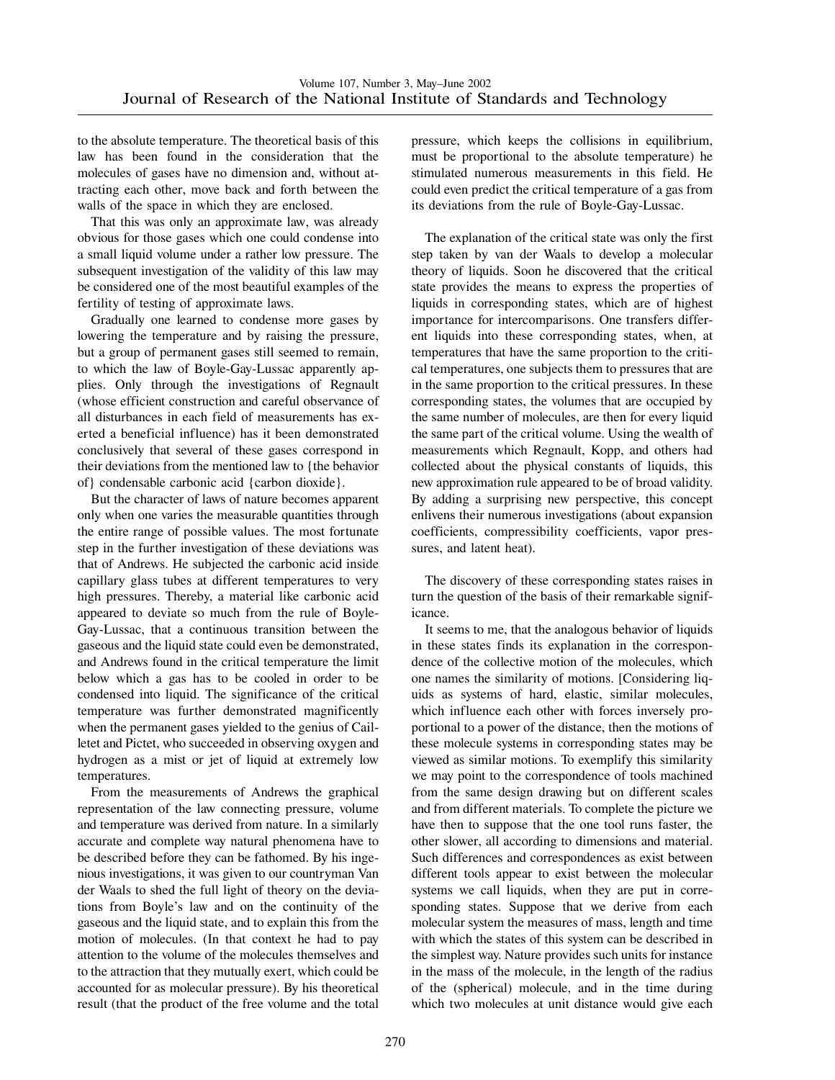to the absolute temperature. The theoretical basis of this law has been found in the consideration that the molecules of gases have no dimension and, without attracting each other, move back and forth between the walls of the space in which they are enclosed.

That this was only an approximate law, was already obvious for those gases which one could condense into a small liquid volume under a rather low pressure. The subsequent investigation of the validity of this law may be considered one of the most beautiful examples of the fertility of testing of approximate laws.

Gradually one learned to condense more gases by lowering the temperature and by raising the pressure, but a group of permanent gases still seemed to remain, to which the law of Boyle-Gay-Lussac apparently applies. Only through the investigations of Regnault (whose efficient construction and careful observance of all disturbances in each field of measurements has exerted a beneficial influence) has it been demonstrated conclusively that several of these gases correspond in their deviations from the mentioned law to {the behavior of} condensable carbonic acid {carbon dioxide}.

But the character of laws of nature becomes apparent only when one varies the measurable quantities through the entire range of possible values. The most fortunate step in the further investigation of these deviations was that of Andrews. He subjected the carbonic acid inside capillary glass tubes at different temperatures to very high pressures. Thereby, a material like carbonic acid appeared to deviate so much from the rule of Boyle-Gay-Lussac, that a continuous transition between the gaseous and the liquid state could even be demonstrated, and Andrews found in the critical temperature the limit below which a gas has to be cooled in order to be condensed into liquid. The significance of the critical temperature was further demonstrated magnificently when the permanent gases yielded to the genius of Cailletet and Pictet, who succeeded in observing oxygen and hydrogen as a mist or jet of liquid at extremely low temperatures.

From the measurements of Andrews the graphical representation of the law connecting pressure, volume and temperature was derived from nature. In a similarly accurate and complete way natural phenomena have to be described before they can be fathomed. By his ingenious investigations, it was given to our countryman Van der Waals to shed the full light of theory on the deviations from Boyle's law and on the continuity of the gaseous and the liquid state, and to explain this from the motion of molecules. (In that context he had to pay attention to the volume of the molecules themselves and to the attraction that they mutually exert, which could be accounted for as molecular pressure). By his theoretical result (that the product of the free volume and the total pressure, which keeps the collisions in equilibrium, must be proportional to the absolute temperature) he stimulated numerous measurements in this field. He could even predict the critical temperature of a gas from its deviations from the rule of Boyle-Gay-Lussac.

The explanation of the critical state was only the first step taken by van der Waals to develop a molecular theory of liquids. Soon he discovered that the critical state provides the means to express the properties of liquids in corresponding states, which are of highest importance for intercomparisons. One transfers different liquids into these corresponding states, when, at temperatures that have the same proportion to the critical temperatures, one subjects them to pressures that are in the same proportion to the critical pressures. In these corresponding states, the volumes that are occupied by the same number of molecules, are then for every liquid the same part of the critical volume. Using the wealth of measurements which Regnault, Kopp, and others had collected about the physical constants of liquids, this new approximation rule appeared to be of broad validity. By adding a surprising new perspective, this concept enlivens their numerous investigations (about expansion coefficients, compressibility coefficients, vapor pressures, and latent heat).

The discovery of these corresponding states raises in turn the question of the basis of their remarkable significance.

It seems to me, that the analogous behavior of liquids in these states finds its explanation in the correspondence of the collective motion of the molecules, which one names the similarity of motions. [Considering liquids as systems of hard, elastic, similar molecules, which influence each other with forces inversely proportional to a power of the distance, then the motions of these molecule systems in corresponding states may be viewed as similar motions. To exemplify this similarity we may point to the correspondence of tools machined from the same design drawing but on different scales and from different materials. To complete the picture we have then to suppose that the one tool runs faster, the other slower, all according to dimensions and material. Such differences and correspondences as exist between different tools appear to exist between the molecular systems we call liquids, when they are put in corresponding states. Suppose that we derive from each molecular system the measures of mass, length and time with which the states of this system can be described in the simplest way. Nature provides such units for instance in the mass of the molecule, in the length of the radius of the (spherical) molecule, and in the time during which two molecules at unit distance would give each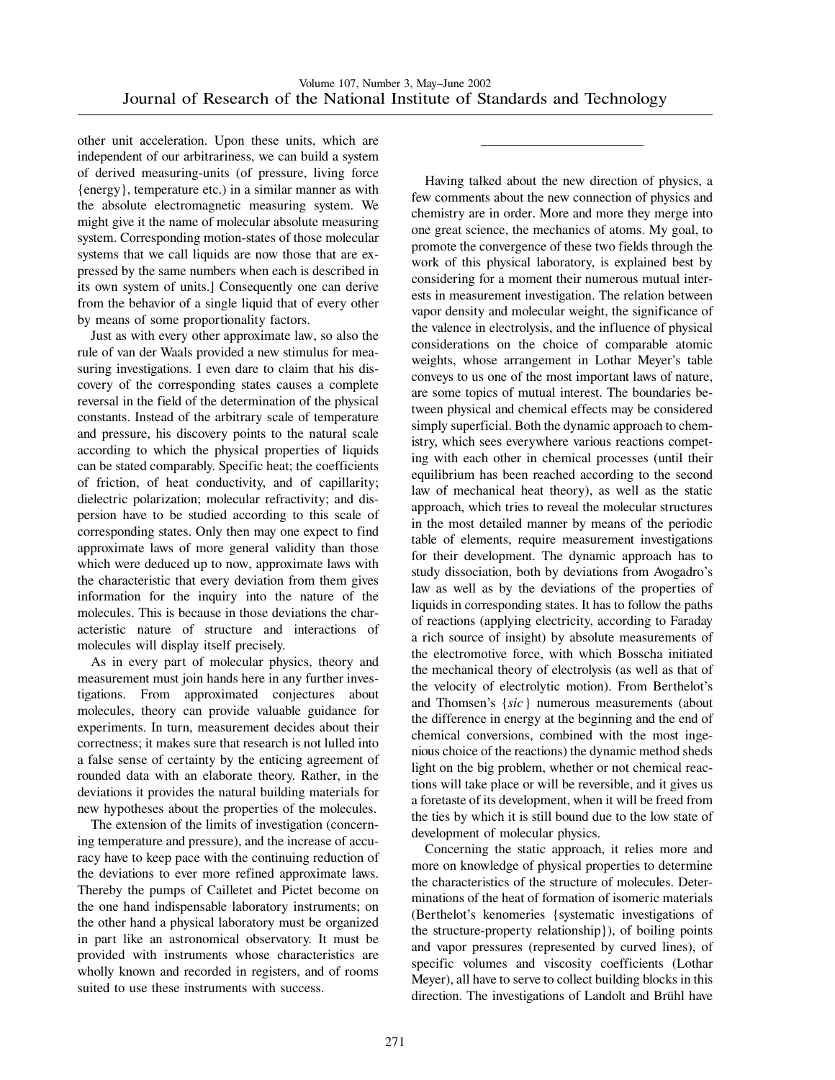other unit acceleration. Upon these units, which are independent of our arbitrariness, we can build a system of derived measuring-units (of pressure, living force {energy}, temperature etc.) in a similar manner as with the absolute electromagnetic measuring system. We might give it the name of molecular absolute measuring system. Corresponding motion-states of those molecular systems that we call liquids are now those that are expressed by the same numbers when each is described in its own system of units.] Consequently one can derive from the behavior of a single liquid that of every other by means of some proportionality factors.

Just as with every other approximate law, so also the rule of van der Waals provided a new stimulus for measuring investigations. I even dare to claim that his discovery of the corresponding states causes a complete reversal in the field of the determination of the physical constants. Instead of the arbitrary scale of temperature and pressure, his discovery points to the natural scale according to which the physical properties of liquids can be stated comparably. Specific heat; the coefficients of friction, of heat conductivity, and of capillarity; dielectric polarization; molecular refractivity; and dispersion have to be studied according to this scale of corresponding states. Only then may one expect to find approximate laws of more general validity than those which were deduced up to now, approximate laws with the characteristic that every deviation from them gives information for the inquiry into the nature of the molecules. This is because in those deviations the characteristic nature of structure and interactions of molecules will display itself precisely.

As in every part of molecular physics, theory and measurement must join hands here in any further investigations. From approximated conjectures about molecules, theory can provide valuable guidance for experiments. In turn, measurement decides about their correctness; it makes sure that research is not lulled into a false sense of certainty by the enticing agreement of rounded data with an elaborate theory. Rather, in the deviations it provides the natural building materials for new hypotheses about the properties of the molecules.

The extension of the limits of investigation (concerning temperature and pressure), and the increase of accuracy have to keep pace with the continuing reduction of the deviations to ever more refined approximate laws. Thereby the pumps of Cailletet and Pictet become on the one hand indispensable laboratory instruments; on the other hand a physical laboratory must be organized in part like an astronomical observatory. It must be provided with instruments whose characteristics are wholly known and recorded in registers, and of rooms suited to use these instruments with success.

Having talked about the new direction of physics, a few comments about the new connection of physics and chemistry are in order. More and more they merge into one great science, the mechanics of atoms. My goal, to promote the convergence of these two fields through the work of this physical laboratory, is explained best by considering for a moment their numerous mutual interests in measurement investigation. The relation between vapor density and molecular weight, the significance of the valence in electrolysis, and the influence of physical considerations on the choice of comparable atomic weights, whose arrangement in Lothar Meyer's table conveys to us one of the most important laws of nature, are some topics of mutual interest. The boundaries between physical and chemical effects may be considered simply superficial. Both the dynamic approach to chemistry, which sees everywhere various reactions competing with each other in chemical processes (until their equilibrium has been reached according to the second law of mechanical heat theory), as well as the static approach, which tries to reveal the molecular structures in the most detailed manner by means of the periodic table of elements, require measurement investigations for their development. The dynamic approach has to study dissociation, both by deviations from Avogadro's law as well as by the deviations of the properties of liquids in corresponding states. It has to follow the paths of reactions (applying electricity, according to Faraday a rich source of insight) by absolute measurements of the electromotive force, with which Bosscha initiated the mechanical theory of electrolysis (as well as that of the velocity of electrolytic motion). From Berthelot's and Thomsen's {*sic*} numerous measurements (about the difference in energy at the beginning and the end of chemical conversions, combined with the most ingenious choice of the reactions) the dynamic method sheds light on the big problem, whether or not chemical reactions will take place or will be reversible, and it gives us a foretaste of its development, when it will be freed from the ties by which it is still bound due to the low state of development of molecular physics.

Concerning the static approach, it relies more and more on knowledge of physical properties to determine the characteristics of the structure of molecules. Determinations of the heat of formation of isomeric materials (Berthelot's kenomeries {systematic investigations of the structure-property relationship}), of boiling points and vapor pressures (represented by curved lines), of specific volumes and viscosity coefficients (Lothar Meyer), all have to serve to collect building blocks in this direction. The investigations of Landolt and Brühl have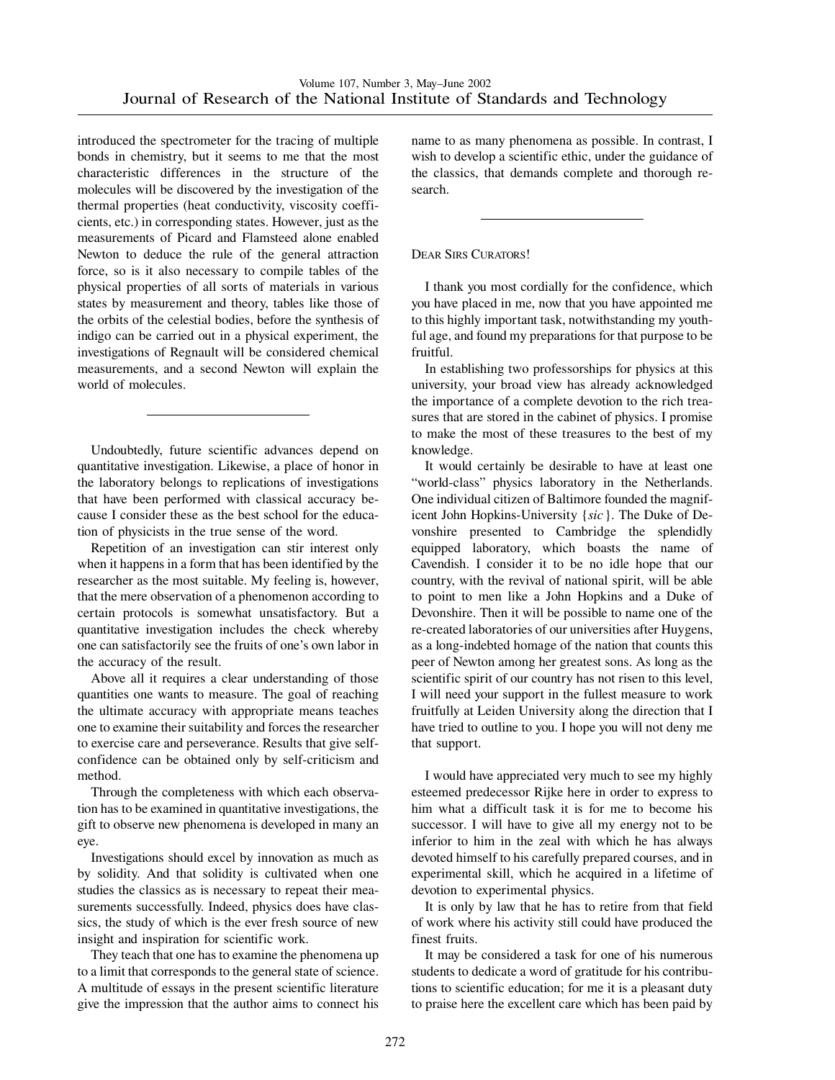introduced the spectrometer for the tracing of multiple bonds in chemistry, but it seems to me that the most characteristic differences in the structure of the molecules will be discovered by the investigation of the thermal properties (heat conductivity, viscosity coefficients, etc.) in corresponding states. However, just as the measurements of Picard and Flamsteed alone enabled Newton to deduce the rule of the general attraction force, so is it also necessary to compile tables of the physical properties of all sorts of materials in various states by measurement and theory, tables like those of the orbits of the celestial bodies, before the synthesis of indigo can be carried out in a physical experiment, the investigations of Regnault will be considered chemical measurements, and a second Newton will explain the world of molecules.

Undoubtedly, future scientific advances depend on quantitative investigation. Likewise, a place of honor in the laboratory belongs to replications of investigations that have been performed with classical accuracy because I consider these as the best school for the education of physicists in the true sense of the word.

Repetition of an investigation can stir interest only when it happens in a form that has been identified by the researcher as the most suitable. My feeling is, however, that the mere observation of a phenomenon according to certain protocols is somewhat unsatisfactory. But a quantitative investigation includes the check whereby one can satisfactorily see the fruits of one's own labor in the accuracy of the result.

Above all it requires a clear understanding of those quantities one wants to measure. The goal of reaching the ultimate accuracy with appropriate means teaches one to examine their suitability and forces the researcher to exercise care and perseverance. Results that give selfconfidence can be obtained only by self-criticism and method.

Through the completeness with which each observation has to be examined in quantitative investigations, the gift to observe new phenomena is developed in many an eye.

Investigations should excel by innovation as much as by solidity. And that solidity is cultivated when one studies the classics as is necessary to repeat their measurements successfully. Indeed, physics does have classics, the study of which is the ever fresh source of new insight and inspiration for scientific work.

They teach that one has to examine the phenomena up to a limit that corresponds to the general state of science. A multitude of essays in the present scientific literature give the impression that the author aims to connect his

name to as many phenomena as possible. In contrast, I wish to develop a scientific ethic, under the guidance of the classics, that demands complete and thorough research.

#### DEAR SIRS CURATORS!

I thank you most cordially for the confidence, which you have placed in me, now that you have appointed me to this highly important task, notwithstanding my youthful age, and found my preparations for that purpose to be fruitful.

In establishing two professorships for physics at this university, your broad view has already acknowledged the importance of a complete devotion to the rich treasures that are stored in the cabinet of physics. I promise to make the most of these treasures to the best of my knowledge.

It would certainly be desirable to have at least one "world-class" physics laboratory in the Netherlands. One individual citizen of Baltimore founded the magnificent John Hopkins-University {*sic*}. The Duke of Devonshire presented to Cambridge the splendidly equipped laboratory, which boasts the name of Cavendish. I consider it to be no idle hope that our country, with the revival of national spirit, will be able to point to men like a John Hopkins and a Duke of Devonshire. Then it will be possible to name one of the re-created laboratories of our universities after Huygens, as a long-indebted homage of the nation that counts this peer of Newton among her greatest sons. As long as the scientific spirit of our country has not risen to this level, I will need your support in the fullest measure to work fruitfully at Leiden University along the direction that I have tried to outline to you. I hope you will not deny me that support.

I would have appreciated very much to see my highly esteemed predecessor Rijke here in order to express to him what a difficult task it is for me to become his successor. I will have to give all my energy not to be inferior to him in the zeal with which he has always devoted himself to his carefully prepared courses, and in experimental skill, which he acquired in a lifetime of devotion to experimental physics.

It is only by law that he has to retire from that field of work where his activity still could have produced the finest fruits.

It may be considered a task for one of his numerous students to dedicate a word of gratitude for his contributions to scientific education; for me it is a pleasant duty to praise here the excellent care which has been paid by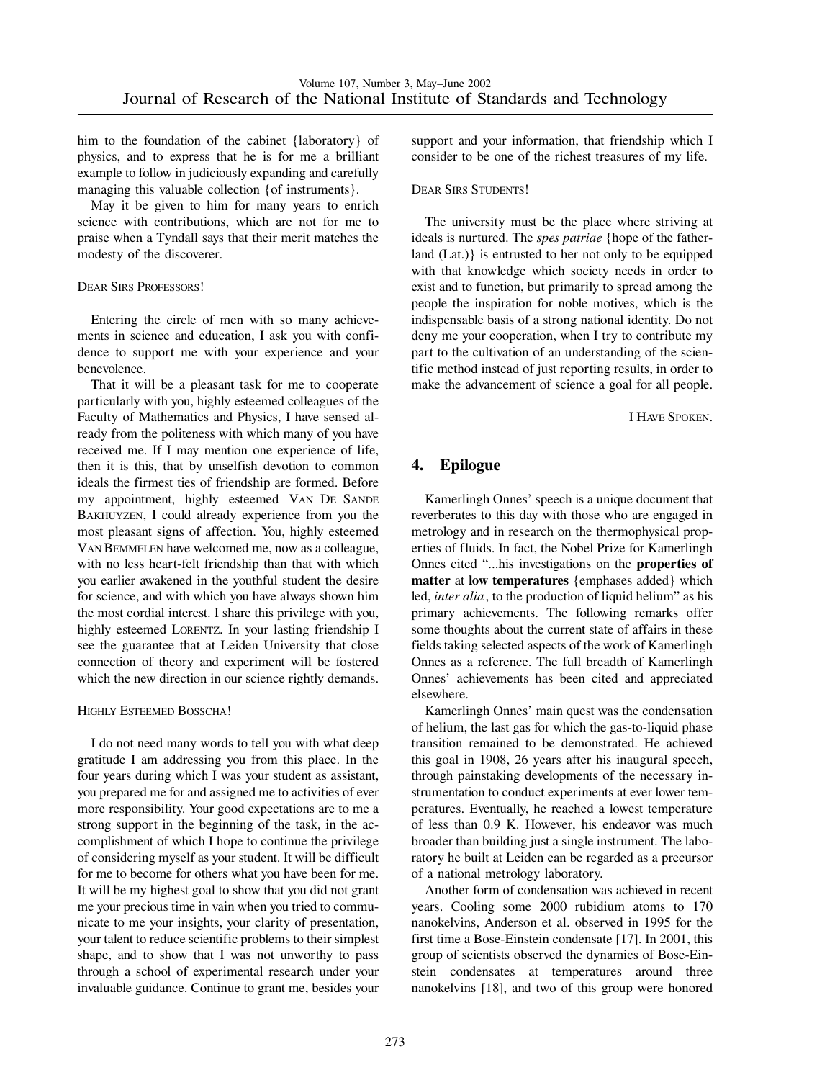him to the foundation of the cabinet {laboratory} of physics, and to express that he is for me a brilliant example to follow in judiciously expanding and carefully managing this valuable collection {of instruments}.

May it be given to him for many years to enrich science with contributions, which are not for me to praise when a Tyndall says that their merit matches the modesty of the discoverer.

#### DEAR SIRS PROFESSORS!

Entering the circle of men with so many achievements in science and education, I ask you with confidence to support me with your experience and your benevolence.

That it will be a pleasant task for me to cooperate particularly with you, highly esteemed colleagues of the Faculty of Mathematics and Physics, I have sensed already from the politeness with which many of you have received me. If I may mention one experience of life, then it is this, that by unselfish devotion to common ideals the firmest ties of friendship are formed. Before my appointment, highly esteemed VAN DE SANDE BAKHUYZEN, I could already experience from you the most pleasant signs of affection. You, highly esteemed VAN BEMMELEN have welcomed me, now as a colleague, with no less heart-felt friendship than that with which you earlier awakened in the youthful student the desire for science, and with which you have always shown him the most cordial interest. I share this privilege with you, highly esteemed LORENTZ. In your lasting friendship I see the guarantee that at Leiden University that close connection of theory and experiment will be fostered which the new direction in our science rightly demands.

#### HIGHLY ESTEEMED BOSSCHA!

I do not need many words to tell you with what deep gratitude I am addressing you from this place. In the four years during which I was your student as assistant, you prepared me for and assigned me to activities of ever more responsibility. Your good expectations are to me a strong support in the beginning of the task, in the accomplishment of which I hope to continue the privilege of considering myself as your student. It will be difficult for me to become for others what you have been for me. It will be my highest goal to show that you did not grant me your precious time in vain when you tried to communicate to me your insights, your clarity of presentation, your talent to reduce scientific problems to their simplest shape, and to show that I was not unworthy to pass through a school of experimental research under your invaluable guidance. Continue to grant me, besides your support and your information, that friendship which I consider to be one of the richest treasures of my life.

#### DEAR SIRS STUDENTS!

The university must be the place where striving at ideals is nurtured. The *spes patriae* {hope of the fatherland (Lat.)} is entrusted to her not only to be equipped with that knowledge which society needs in order to exist and to function, but primarily to spread among the people the inspiration for noble motives, which is the indispensable basis of a strong national identity. Do not deny me your cooperation, when I try to contribute my part to the cultivation of an understanding of the scientific method instead of just reporting results, in order to make the advancement of science a goal for all people.

I HAVE SPOKEN.

# **4. Epilogue**

Kamerlingh Onnes' speech is a unique document that reverberates to this day with those who are engaged in metrology and in research on the thermophysical properties of fluids. In fact, the Nobel Prize for Kamerlingh Onnes cited "...his investigations on the **properties of matter** at **low temperatures** {emphases added} which led, *inter alia*, to the production of liquid helium" as his primary achievements. The following remarks offer some thoughts about the current state of affairs in these fields taking selected aspects of the work of Kamerlingh Onnes as a reference. The full breadth of Kamerlingh Onnes' achievements has been cited and appreciated elsewhere.

Kamerlingh Onnes' main quest was the condensation of helium, the last gas for which the gas-to-liquid phase transition remained to be demonstrated. He achieved this goal in 1908, 26 years after his inaugural speech, through painstaking developments of the necessary instrumentation to conduct experiments at ever lower temperatures. Eventually, he reached a lowest temperature of less than 0.9 K. However, his endeavor was much broader than building just a single instrument. The laboratory he built at Leiden can be regarded as a precursor of a national metrology laboratory.

Another form of condensation was achieved in recent years. Cooling some 2000 rubidium atoms to 170 nanokelvins, Anderson et al. observed in 1995 for the first time a Bose-Einstein condensate [17]. In 2001, this group of scientists observed the dynamics of Bose-Einstein condensates at temperatures around three nanokelvins [18], and two of this group were honored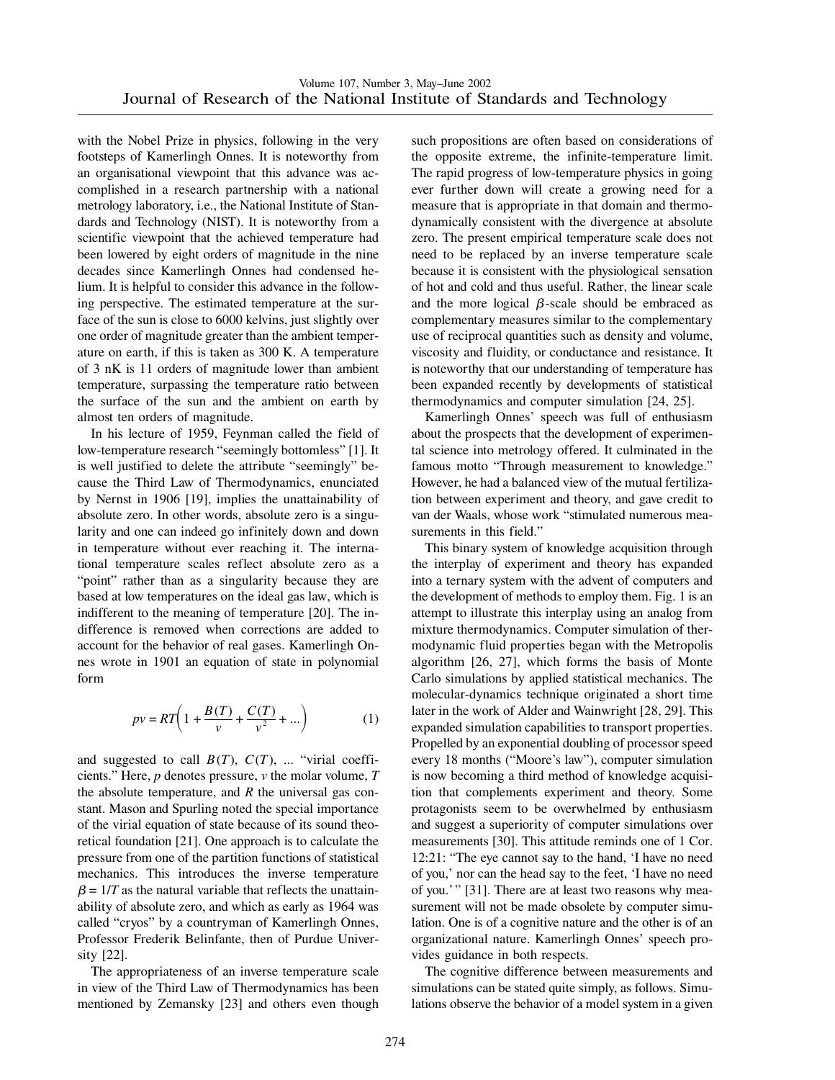with the Nobel Prize in physics, following in the very footsteps of Kamerlingh Onnes. It is noteworthy from an organisational viewpoint that this advance was accomplished in a research partnership with a national metrology laboratory, i.e., the National Institute of Standards and Technology (NIST). It is noteworthy from a scientific viewpoint that the achieved temperature had been lowered by eight orders of magnitude in the nine decades since Kamerlingh Onnes had condensed helium. It is helpful to consider this advance in the following perspective. The estimated temperature at the surface of the sun is close to 6000 kelvins, just slightly over one order of magnitude greater than the ambient temperature on earth, if this is taken as 300 K. A temperature of 3 nK is 11 orders of magnitude lower than ambient temperature, surpassing the temperature ratio between the surface of the sun and the ambient on earth by almost ten orders of magnitude.

In his lecture of 1959, Feynman called the field of low-temperature research "seemingly bottomless" [1]. It is well justified to delete the attribute "seemingly" because the Third Law of Thermodynamics, enunciated by Nernst in 1906 [19], implies the unattainability of absolute zero. In other words, absolute zero is a singularity and one can indeed go infinitely down and down in temperature without ever reaching it. The international temperature scales reflect absolute zero as a "point" rather than as a singularity because they are based at low temperatures on the ideal gas law, which is indifferent to the meaning of temperature [20]. The indifference is removed when corrections are added to account for the behavior of real gases. Kamerlingh Onnes wrote in 1901 an equation of state in polynomial form

$$
pv = RT\left(1 + \frac{B(T)}{v} + \frac{C(T)}{v^2} + ...\right)
$$
 (1)

and suggested to call  $B(T)$ ,  $C(T)$ , ... "virial coefficients." Here, *p* denotes pressure, *v* the molar volume, *T* the absolute temperature, and *R* the universal gas constant. Mason and Spurling noted the special importance of the virial equation of state because of its sound theoretical foundation [21]. One approach is to calculate the pressure from one of the partition functions of statistical mechanics. This introduces the inverse temperature  $\beta = 1/T$  as the natural variable that reflects the unattainability of absolute zero, and which as early as 1964 was called "cryos" by a countryman of Kamerlingh Onnes, Professor Frederik Belinfante, then of Purdue University [22].

The appropriateness of an inverse temperature scale in view of the Third Law of Thermodynamics has been mentioned by Zemansky [23] and others even though such propositions are often based on considerations of the opposite extreme, the infinite-temperature limit. The rapid progress of low-temperature physics in going ever further down will create a growing need for a measure that is appropriate in that domain and thermodynamically consistent with the divergence at absolute zero. The present empirical temperature scale does not need to be replaced by an inverse temperature scale because it is consistent with the physiological sensation of hot and cold and thus useful. Rather, the linear scale and the more logical  $\beta$ -scale should be embraced as complementary measures similar to the complementary use of reciprocal quantities such as density and volume, viscosity and fluidity, or conductance and resistance. It is noteworthy that our understanding of temperature has been expanded recently by developments of statistical thermodynamics and computer simulation [24, 25].

Kamerlingh Onnes' speech was full of enthusiasm about the prospects that the development of experimental science into metrology offered. It culminated in the famous motto "Through measurement to knowledge." However, he had a balanced view of the mutual fertilization between experiment and theory, and gave credit to van der Waals, whose work "stimulated numerous measurements in this field."

This binary system of knowledge acquisition through the interplay of experiment and theory has expanded into a ternary system with the advent of computers and the development of methods to employ them. Fig. 1 is an attempt to illustrate this interplay using an analog from mixture thermodynamics. Computer simulation of thermodynamic fluid properties began with the Metropolis algorithm [26, 27], which forms the basis of Monte Carlo simulations by applied statistical mechanics. The molecular-dynamics technique originated a short time later in the work of Alder and Wainwright [28, 29]. This expanded simulation capabilities to transport properties. Propelled by an exponential doubling of processor speed every 18 months ("Moore's law"), computer simulation is now becoming a third method of knowledge acquisition that complements experiment and theory. Some protagonists seem to be overwhelmed by enthusiasm and suggest a superiority of computer simulations over measurements [30]. This attitude reminds one of 1 Cor. 12:21: "The eye cannot say to the hand, 'I have no need of you,' nor can the head say to the feet, 'I have no need of you.'" [31]. There are at least two reasons why measurement will not be made obsolete by computer simulation. One is of a cognitive nature and the other is of an organizational nature. Kamerlingh Onnes' speech provides guidance in both respects.

The cognitive difference between measurements and simulations can be stated quite simply, as follows. Simulations observe the behavior of a model system in a given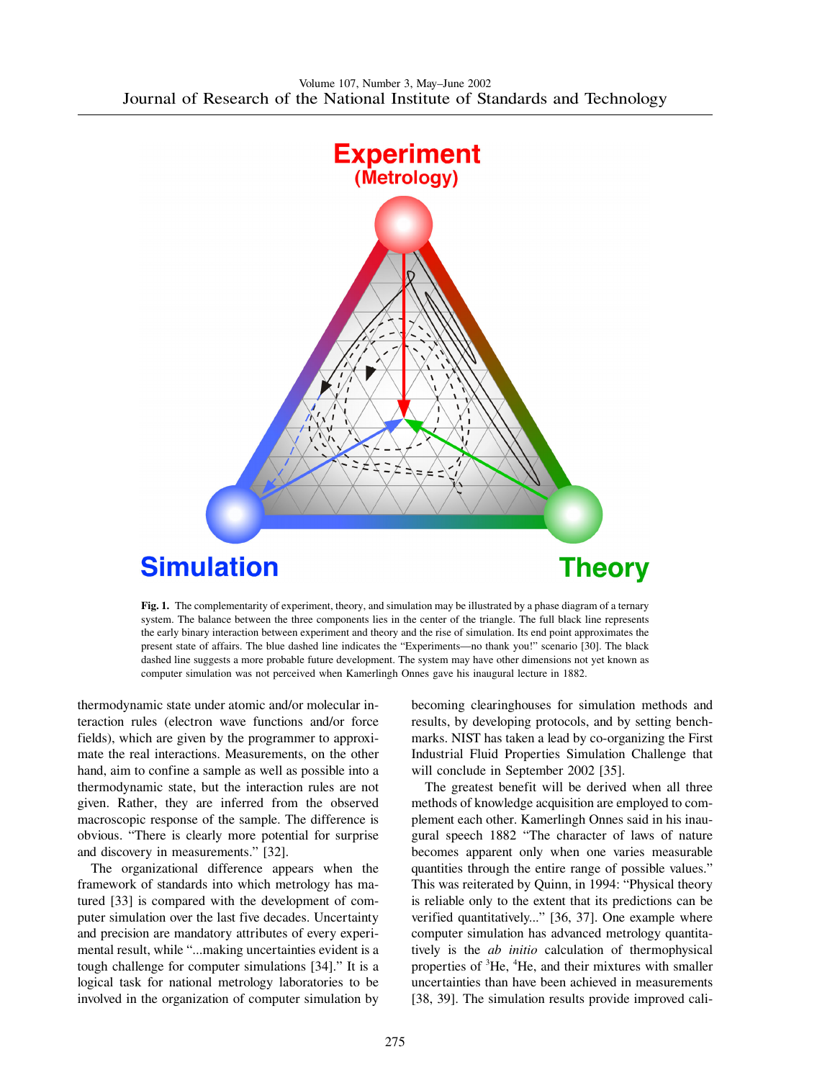

**Fig. 1.** The complementarity of experiment, theory, and simulation may be illustrated by a phase diagram of a ternary system. The balance between the three components lies in the center of the triangle. The full black line represents the early binary interaction between experiment and theory and the rise of simulation. Its end point approximates the present state of affairs. The blue dashed line indicates the "Experiments—no thank you!" scenario [30]. The black dashed line suggests a more probable future development. The system may have other dimensions not yet known as computer simulation was not perceived when Kamerlingh Onnes gave his inaugural lecture in 1882.

thermodynamic state under atomic and/or molecular interaction rules (electron wave functions and/or force fields), which are given by the programmer to approximate the real interactions. Measurements, on the other hand, aim to confine a sample as well as possible into a thermodynamic state, but the interaction rules are not given. Rather, they are inferred from the observed macroscopic response of the sample. The difference is obvious. "There is clearly more potential for surprise and discovery in measurements." [32].

The organizational difference appears when the framework of standards into which metrology has matured [33] is compared with the development of computer simulation over the last five decades. Uncertainty and precision are mandatory attributes of every experimental result, while "...making uncertainties evident is a tough challenge for computer simulations [34]." It is a logical task for national metrology laboratories to be involved in the organization of computer simulation by becoming clearinghouses for simulation methods and results, by developing protocols, and by setting benchmarks. NIST has taken a lead by co-organizing the First Industrial Fluid Properties Simulation Challenge that will conclude in September 2002 [35].

The greatest benefit will be derived when all three methods of knowledge acquisition are employed to complement each other. Kamerlingh Onnes said in his inaugural speech 1882 "The character of laws of nature becomes apparent only when one varies measurable quantities through the entire range of possible values." This was reiterated by Quinn, in 1994: "Physical theory is reliable only to the extent that its predictions can be verified quantitatively..." [36, 37]. One example where computer simulation has advanced metrology quantitatively is the *ab initio* calculation of thermophysical properties of <sup>3</sup>He, <sup>4</sup>He, and their mixtures with smaller uncertainties than have been achieved in measurements [38, 39]. The simulation results provide improved cali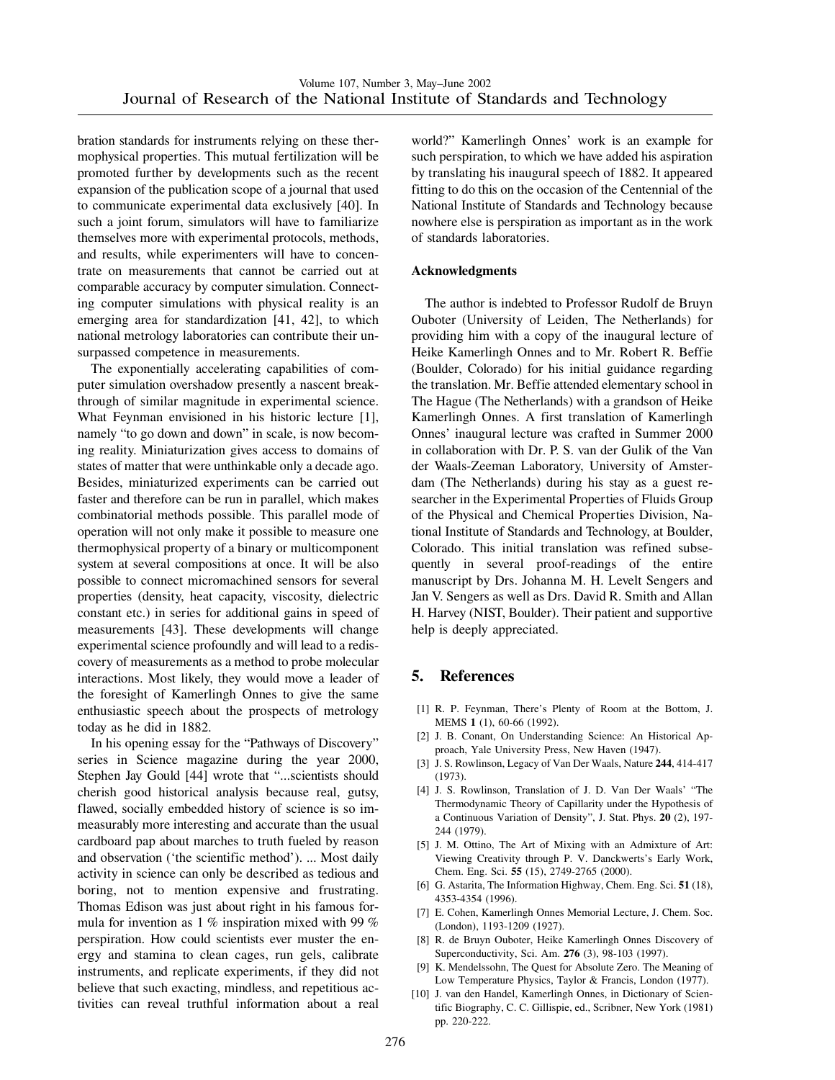bration standards for instruments relying on these thermophysical properties. This mutual fertilization will be promoted further by developments such as the recent expansion of the publication scope of a journal that used to communicate experimental data exclusively [40]. In such a joint forum, simulators will have to familiarize themselves more with experimental protocols, methods, and results, while experimenters will have to concentrate on measurements that cannot be carried out at comparable accuracy by computer simulation. Connecting computer simulations with physical reality is an emerging area for standardization [41, 42], to which national metrology laboratories can contribute their unsurpassed competence in measurements.

The exponentially accelerating capabilities of computer simulation overshadow presently a nascent breakthrough of similar magnitude in experimental science. What Feynman envisioned in his historic lecture [1], namely "to go down and down" in scale, is now becoming reality. Miniaturization gives access to domains of states of matter that were unthinkable only a decade ago. Besides, miniaturized experiments can be carried out faster and therefore can be run in parallel, which makes combinatorial methods possible. This parallel mode of operation will not only make it possible to measure one thermophysical property of a binary or multicomponent system at several compositions at once. It will be also possible to connect micromachined sensors for several properties (density, heat capacity, viscosity, dielectric constant etc.) in series for additional gains in speed of measurements [43]. These developments will change experimental science profoundly and will lead to a rediscovery of measurements as a method to probe molecular interactions. Most likely, they would move a leader of the foresight of Kamerlingh Onnes to give the same enthusiastic speech about the prospects of metrology today as he did in 1882.

In his opening essay for the "Pathways of Discovery" series in Science magazine during the year 2000, Stephen Jay Gould [44] wrote that "...scientists should cherish good historical analysis because real, gutsy, flawed, socially embedded history of science is so immeasurably more interesting and accurate than the usual cardboard pap about marches to truth fueled by reason and observation ('the scientific method'). ... Most daily activity in science can only be described as tedious and boring, not to mention expensive and frustrating. Thomas Edison was just about right in his famous formula for invention as 1 % inspiration mixed with 99 % perspiration. How could scientists ever muster the energy and stamina to clean cages, run gels, calibrate instruments, and replicate experiments, if they did not believe that such exacting, mindless, and repetitious activities can reveal truthful information about a real world?" Kamerlingh Onnes' work is an example for such perspiration, to which we have added his aspiration by translating his inaugural speech of 1882. It appeared fitting to do this on the occasion of the Centennial of the National Institute of Standards and Technology because nowhere else is perspiration as important as in the work of standards laboratories.

#### **Acknowledgments**

The author is indebted to Professor Rudolf de Bruyn Ouboter (University of Leiden, The Netherlands) for providing him with a copy of the inaugural lecture of Heike Kamerlingh Onnes and to Mr. Robert R. Beffie (Boulder, Colorado) for his initial guidance regarding the translation. Mr. Beffie attended elementary school in The Hague (The Netherlands) with a grandson of Heike Kamerlingh Onnes. A first translation of Kamerlingh Onnes' inaugural lecture was crafted in Summer 2000 in collaboration with Dr. P. S. van der Gulik of the Van der Waals-Zeeman Laboratory, University of Amsterdam (The Netherlands) during his stay as a guest researcher in the Experimental Properties of Fluids Group of the Physical and Chemical Properties Division, National Institute of Standards and Technology, at Boulder, Colorado. This initial translation was refined subsequently in several proof-readings of the entire manuscript by Drs. Johanna M. H. Levelt Sengers and Jan V. Sengers as well as Drs. David R. Smith and Allan H. Harvey (NIST, Boulder). Their patient and supportive help is deeply appreciated.

## **5. References**

- [1] R. P. Feynman, There's Plenty of Room at the Bottom, J. MEMS **1** (1), 60-66 (1992).
- [2] J. B. Conant, On Understanding Science: An Historical Approach, Yale University Press, New Haven (1947).
- [3] J. S. Rowlinson, Legacy of Van Der Waals, Nature **244**, 414-417 (1973).
- [4] J. S. Rowlinson, Translation of J. D. Van Der Waals' "The Thermodynamic Theory of Capillarity under the Hypothesis of a Continuous Variation of Density", J. Stat. Phys. **20** (2), 197- 244 (1979).
- [5] J. M. Ottino, The Art of Mixing with an Admixture of Art: Viewing Creativity through P. V. Danckwerts's Early Work, Chem. Eng. Sci. **55** (15), 2749-2765 (2000).
- [6] G. Astarita, The Information Highway, Chem. Eng. Sci. **51** (18), 4353-4354 (1996).
- [7] E. Cohen, Kamerlingh Onnes Memorial Lecture, J. Chem. Soc. (London), 1193-1209 (1927).
- [8] R. de Bruyn Ouboter, Heike Kamerlingh Onnes Discovery of Superconductivity, Sci. Am. **276** (3), 98-103 (1997).
- [9] K. Mendelssohn, The Quest for Absolute Zero. The Meaning of Low Temperature Physics, Taylor & Francis, London (1977).
- [10] J. van den Handel, Kamerlingh Onnes, in Dictionary of Scientific Biography, C. C. Gillispie, ed., Scribner, New York (1981) pp. 220-222.